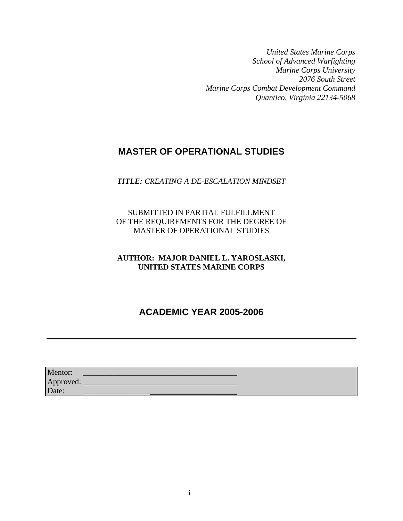*United States Marine Corps School of Advanced Warfighting Marine Corps University 2076 South Street Marine Corps Combat Development Command Quantico, Virginia 22134-5068* 

# **MASTER OF OPERATIONAL STUDIES**

*TITLE: CREATING A DE-ESCALATION MINDSET*

SUBMITTED IN PARTIAL FULFILLMENT OF THE REQUIREMENTS FOR THE DEGREE OF MASTER OF OPERATIONAL STUDIES

# **AUTHOR: MAJOR DANIEL L. YAROSLASKI, UNITED STATES MARINE CORPS**

# **ACADEMIC YEAR 2005-2006**

| Mentor:   |  |
|-----------|--|
| Approved: |  |
| Date:     |  |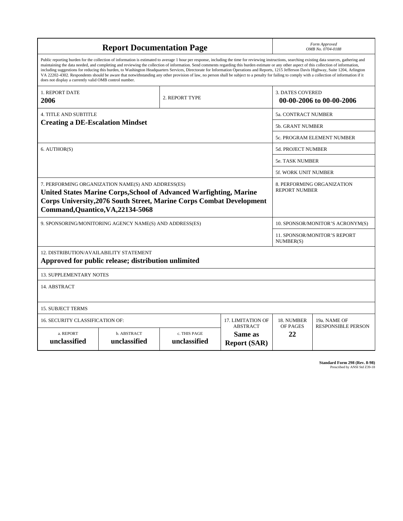| <b>Report Documentation Page</b>                                                                                                                                                                                                                                                                                                                                                                                                                                                                                                                                                                                                                                                                                                                                                                                                                                   |                             |                              |                                                   | Form Approved<br>OMB No. 0704-0188                 |                           |  |
|--------------------------------------------------------------------------------------------------------------------------------------------------------------------------------------------------------------------------------------------------------------------------------------------------------------------------------------------------------------------------------------------------------------------------------------------------------------------------------------------------------------------------------------------------------------------------------------------------------------------------------------------------------------------------------------------------------------------------------------------------------------------------------------------------------------------------------------------------------------------|-----------------------------|------------------------------|---------------------------------------------------|----------------------------------------------------|---------------------------|--|
| Public reporting burden for the collection of information is estimated to average 1 hour per response, including the time for reviewing instructions, searching existing data sources, gathering and<br>maintaining the data needed, and completing and reviewing the collection of information. Send comments regarding this burden estimate or any other aspect of this collection of information,<br>including suggestions for reducing this burden, to Washington Headquarters Services, Directorate for Information Operations and Reports, 1215 Jefferson Davis Highway, Suite 1204, Arlington<br>VA 22202-4302. Respondents should be aware that notwithstanding any other provision of law, no person shall be subject to a penalty for failing to comply with a collection of information if it<br>does not display a currently valid OMB control number. |                             |                              |                                                   |                                                    |                           |  |
| 1. REPORT DATE<br>2006                                                                                                                                                                                                                                                                                                                                                                                                                                                                                                                                                                                                                                                                                                                                                                                                                                             |                             | 2. REPORT TYPE               |                                                   | <b>3. DATES COVERED</b>                            | 00-00-2006 to 00-00-2006  |  |
| <b>4. TITLE AND SUBTITLE</b>                                                                                                                                                                                                                                                                                                                                                                                                                                                                                                                                                                                                                                                                                                                                                                                                                                       |                             |                              | 5a. CONTRACT NUMBER                               |                                                    |                           |  |
| <b>Creating a DE-Escalation Mindset</b>                                                                                                                                                                                                                                                                                                                                                                                                                                                                                                                                                                                                                                                                                                                                                                                                                            |                             |                              | 5b. GRANT NUMBER                                  |                                                    |                           |  |
|                                                                                                                                                                                                                                                                                                                                                                                                                                                                                                                                                                                                                                                                                                                                                                                                                                                                    |                             |                              |                                                   | 5c. PROGRAM ELEMENT NUMBER                         |                           |  |
| 6. AUTHOR(S)                                                                                                                                                                                                                                                                                                                                                                                                                                                                                                                                                                                                                                                                                                                                                                                                                                                       |                             |                              | <b>5d. PROJECT NUMBER</b>                         |                                                    |                           |  |
|                                                                                                                                                                                                                                                                                                                                                                                                                                                                                                                                                                                                                                                                                                                                                                                                                                                                    |                             |                              | <b>5e. TASK NUMBER</b>                            |                                                    |                           |  |
|                                                                                                                                                                                                                                                                                                                                                                                                                                                                                                                                                                                                                                                                                                                                                                                                                                                                    |                             |                              |                                                   | 5f. WORK UNIT NUMBER                               |                           |  |
| 7. PERFORMING ORGANIZATION NAME(S) AND ADDRESS(ES)<br>United States Marine Corps, School of Advanced Warfighting, Marine<br><b>Corps University, 2076 South Street, Marine Corps Combat Development</b><br>Command, Quantico, VA, 22134-5068                                                                                                                                                                                                                                                                                                                                                                                                                                                                                                                                                                                                                       |                             |                              |                                                   | 8. PERFORMING ORGANIZATION<br><b>REPORT NUMBER</b> |                           |  |
| 9. SPONSORING/MONITORING AGENCY NAME(S) AND ADDRESS(ES)                                                                                                                                                                                                                                                                                                                                                                                                                                                                                                                                                                                                                                                                                                                                                                                                            |                             |                              |                                                   | 10. SPONSOR/MONITOR'S ACRONYM(S)                   |                           |  |
|                                                                                                                                                                                                                                                                                                                                                                                                                                                                                                                                                                                                                                                                                                                                                                                                                                                                    |                             |                              |                                                   | <b>11. SPONSOR/MONITOR'S REPORT</b><br>NUMBER(S)   |                           |  |
| 12. DISTRIBUTION/AVAILABILITY STATEMENT<br>Approved for public release; distribution unlimited                                                                                                                                                                                                                                                                                                                                                                                                                                                                                                                                                                                                                                                                                                                                                                     |                             |                              |                                                   |                                                    |                           |  |
| <b>13. SUPPLEMENTARY NOTES</b>                                                                                                                                                                                                                                                                                                                                                                                                                                                                                                                                                                                                                                                                                                                                                                                                                                     |                             |                              |                                                   |                                                    |                           |  |
| 14. ABSTRACT                                                                                                                                                                                                                                                                                                                                                                                                                                                                                                                                                                                                                                                                                                                                                                                                                                                       |                             |                              |                                                   |                                                    |                           |  |
| <b>15. SUBJECT TERMS</b>                                                                                                                                                                                                                                                                                                                                                                                                                                                                                                                                                                                                                                                                                                                                                                                                                                           |                             |                              |                                                   |                                                    |                           |  |
| 16. SECURITY CLASSIFICATION OF:                                                                                                                                                                                                                                                                                                                                                                                                                                                                                                                                                                                                                                                                                                                                                                                                                                    |                             |                              | 17. LIMITATION OF                                 | 18. NUMBER                                         | 19a. NAME OF              |  |
| a. REPORT<br>unclassified                                                                                                                                                                                                                                                                                                                                                                                                                                                                                                                                                                                                                                                                                                                                                                                                                                          | b. ABSTRACT<br>unclassified | c. THIS PAGE<br>unclassified | <b>ABSTRACT</b><br>Same as<br><b>Report (SAR)</b> | OF PAGES<br>22                                     | <b>RESPONSIBLE PERSON</b> |  |

**Standard Form 298 (Rev. 8-98)**<br>Prescribed by ANSI Std Z39-18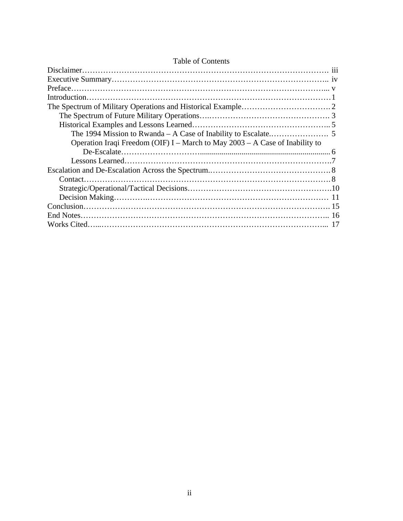| Operation Iraqi Freedom (OIF) I – March to May $2003 - A$ Case of Inability to |  |
|--------------------------------------------------------------------------------|--|
|                                                                                |  |
|                                                                                |  |
|                                                                                |  |
|                                                                                |  |
|                                                                                |  |
|                                                                                |  |
|                                                                                |  |
|                                                                                |  |
|                                                                                |  |

## Table of Contents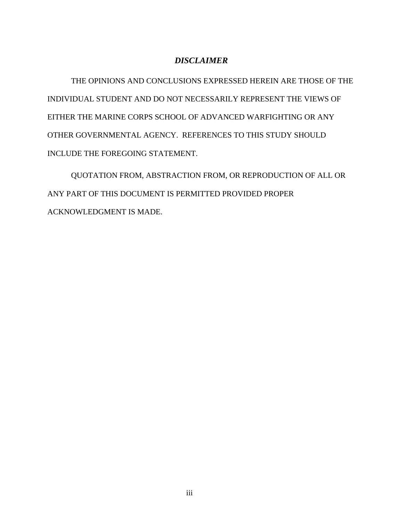# *DISCLAIMER*

THE OPINIONS AND CONCLUSIONS EXPRESSED HEREIN ARE THOSE OF THE INDIVIDUAL STUDENT AND DO NOT NECESSARILY REPRESENT THE VIEWS OF EITHER THE MARINE CORPS SCHOOL OF ADVANCED WARFIGHTING OR ANY OTHER GOVERNMENTAL AGENCY. REFERENCES TO THIS STUDY SHOULD INCLUDE THE FOREGOING STATEMENT.

 QUOTATION FROM, ABSTRACTION FROM, OR REPRODUCTION OF ALL OR ANY PART OF THIS DOCUMENT IS PERMITTED PROVIDED PROPER ACKNOWLEDGMENT IS MADE.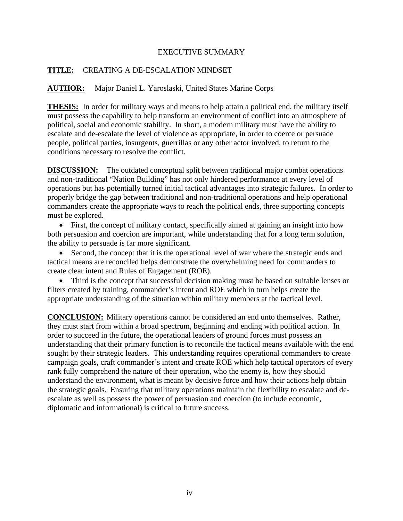## EXECUTIVE SUMMARY

## **TITLE:** CREATING A DE-ESCALATION MINDSET

## **AUTHOR:** Major Daniel L. Yaroslaski, United States Marine Corps

**THESIS:** In order for military ways and means to help attain a political end, the military itself must possess the capability to help transform an environment of conflict into an atmosphere of political, social and economic stability. In short, a modern military must have the ability to escalate and de-escalate the level of violence as appropriate, in order to coerce or persuade people, political parties, insurgents, guerrillas or any other actor involved, to return to the conditions necessary to resolve the conflict.

**DISCUSSION:** The outdated conceptual split between traditional major combat operations and non-traditional "Nation Building" has not only hindered performance at every level of operations but has potentially turned initial tactical advantages into strategic failures. In order to properly bridge the gap between traditional and non-traditional operations and help operational commanders create the appropriate ways to reach the political ends, three supporting concepts must be explored.

• First, the concept of military contact, specifically aimed at gaining an insight into how both persuasion and coercion are important, while understanding that for a long term solution, the ability to persuade is far more significant.

• Second, the concept that it is the operational level of war where the strategic ends and tactical means are reconciled helps demonstrate the overwhelming need for commanders to create clear intent and Rules of Engagement (ROE).

• Third is the concept that successful decision making must be based on suitable lenses or filters created by training, commander's intent and ROE which in turn helps create the appropriate understanding of the situation within military members at the tactical level.

**CONCLUSION:** Military operations cannot be considered an end unto themselves. Rather, they must start from within a broad spectrum, beginning and ending with political action. In order to succeed in the future, the operational leaders of ground forces must possess an understanding that their primary function is to reconcile the tactical means available with the end sought by their strategic leaders. This understanding requires operational commanders to create campaign goals, craft commander's intent and create ROE which help tactical operators of every rank fully comprehend the nature of their operation, who the enemy is, how they should understand the environment, what is meant by decisive force and how their actions help obtain the strategic goals. Ensuring that military operations maintain the flexibility to escalate and deescalate as well as possess the power of persuasion and coercion (to include economic, diplomatic and informational) is critical to future success.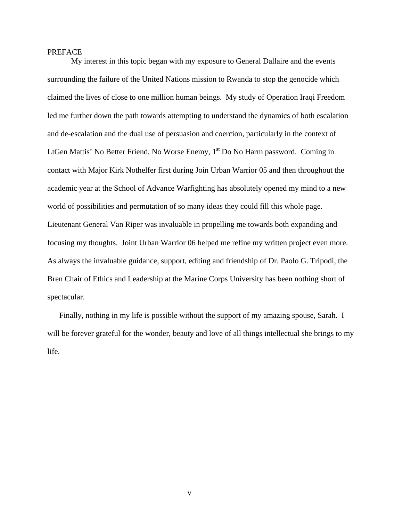#### PREFACE

 My interest in this topic began with my exposure to General Dallaire and the events surrounding the failure of the United Nations mission to Rwanda to stop the genocide which claimed the lives of close to one million human beings. My study of Operation Iraqi Freedom led me further down the path towards attempting to understand the dynamics of both escalation and de-escalation and the dual use of persuasion and coercion, particularly in the context of LtGen Mattis' No Better Friend, No Worse Enemy, 1<sup>st</sup> Do No Harm password. Coming in contact with Major Kirk Nothelfer first during Join Urban Warrior 05 and then throughout the academic year at the School of Advance Warfighting has absolutely opened my mind to a new world of possibilities and permutation of so many ideas they could fill this whole page. Lieutenant General Van Riper was invaluable in propelling me towards both expanding and focusing my thoughts. Joint Urban Warrior 06 helped me refine my written project even more. As always the invaluable guidance, support, editing and friendship of Dr. Paolo G. Tripodi, the Bren Chair of Ethics and Leadership at the Marine Corps University has been nothing short of spectacular.

 Finally, nothing in my life is possible without the support of my amazing spouse, Sarah. I will be forever grateful for the wonder, beauty and love of all things intellectual she brings to my life.

v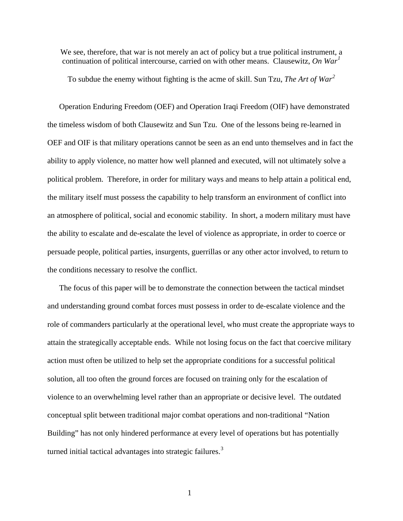We see, therefore, that war is not merely an act of policy but a true political instrument, a continuation of political intercourse, carried on with other means. Clausewitz, *On War[1](#page-21-0)*

To subdue the enemy without fighting is the acme of skill. Sun Tzu, *The Art of War[2](#page-21-1)*

 Operation Enduring Freedom (OEF) and Operation Iraqi Freedom (OIF) have demonstrated the timeless wisdom of both Clausewitz and Sun Tzu. One of the lessons being re-learned in OEF and OIF is that military operations cannot be seen as an end unto themselves and in fact the ability to apply violence, no matter how well planned and executed, will not ultimately solve a political problem. Therefore, in order for military ways and means to help attain a political end, the military itself must possess the capability to help transform an environment of conflict into an atmosphere of political, social and economic stability. In short, a modern military must have the ability to escalate and de-escalate the level of violence as appropriate, in order to coerce or persuade people, political parties, insurgents, guerrillas or any other actor involved, to return to the conditions necessary to resolve the conflict.

 The focus of this paper will be to demonstrate the connection between the tactical mindset and understanding ground combat forces must possess in order to de-escalate violence and the role of commanders particularly at the operational level, who must create the appropriate ways to attain the strategically acceptable ends. While not losing focus on the fact that coercive military action must often be utilized to help set the appropriate conditions for a successful political solution, all too often the ground forces are focused on training only for the escalation of violence to an overwhelming level rather than an appropriate or decisive level. The outdated conceptual split between traditional major combat operations and non-traditional "Nation Building" has not only hindered performance at every level of operations but has potentially turned initial tactical advantages into strategic failures.<sup>[3](#page-21-1)</sup>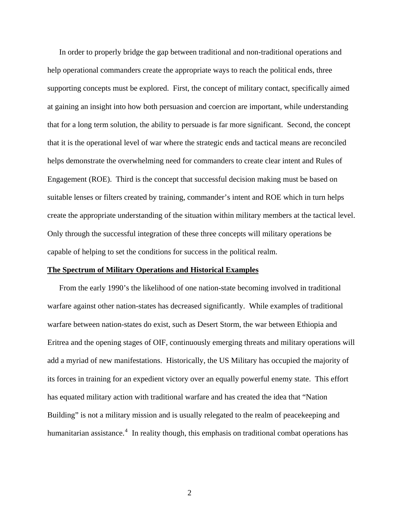In order to properly bridge the gap between traditional and non-traditional operations and help operational commanders create the appropriate ways to reach the political ends, three supporting concepts must be explored. First, the concept of military contact, specifically aimed at gaining an insight into how both persuasion and coercion are important, while understanding that for a long term solution, the ability to persuade is far more significant. Second, the concept that it is the operational level of war where the strategic ends and tactical means are reconciled helps demonstrate the overwhelming need for commanders to create clear intent and Rules of Engagement (ROE). Third is the concept that successful decision making must be based on suitable lenses or filters created by training, commander's intent and ROE which in turn helps create the appropriate understanding of the situation within military members at the tactical level. Only through the successful integration of these three concepts will military operations be capable of helping to set the conditions for success in the political realm.

#### **The Spectrum of Military Operations and Historical Examples**

 From the early 1990's the likelihood of one nation-state becoming involved in traditional warfare against other nation-states has decreased significantly. While examples of traditional warfare between nation-states do exist, such as Desert Storm, the war between Ethiopia and Eritrea and the opening stages of OIF, continuously emerging threats and military operations will add a myriad of new manifestations. Historically, the US Military has occupied the majority of its forces in training for an expedient victory over an equally powerful enemy state. This effort has equated military action with traditional warfare and has created the idea that "Nation Building" is not a military mission and is usually relegated to the realm of peacekeeping and humanitarian assistance.<sup>[4](#page-21-1)</sup> In reality though, this emphasis on traditional combat operations has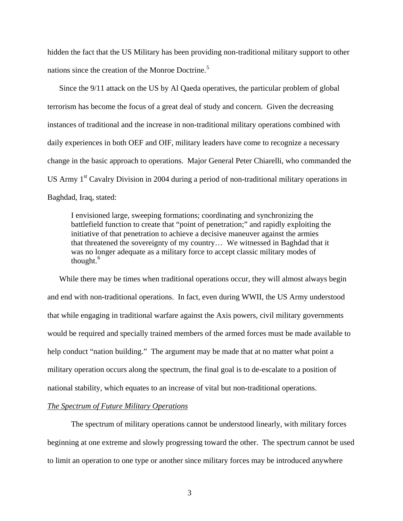hidden the fact that the US Military has been providing non-traditional military support to other nations since the creation of the Monroe Doctrine.<sup>[5](#page-21-1)</sup>

 Since the 9/11 attack on the US by Al Qaeda operatives, the particular problem of global terrorism has become the focus of a great deal of study and concern. Given the decreasing instances of traditional and the increase in non-traditional military operations combined with daily experiences in both OEF and OIF, military leaders have come to recognize a necessary change in the basic approach to operations. Major General Peter Chiarelli, who commanded the US Army  $1<sup>st</sup>$  Cavalry Division in 2004 during a period of non-traditional military operations in Baghdad, Iraq, stated:

I envisioned large, sweeping formations; coordinating and synchronizing the battlefield function to create that "point of penetration;" and rapidly exploiting the initiative of that penetration to achieve a decisive maneuver against the armies that threatened the sovereignty of my country… We witnessed in Baghdad that it was no longer adequate as a military force to accept classic military modes of thought.<sup>[6](#page-21-1)</sup>

While there may be times when traditional operations occur, they will almost always begin and end with non-traditional operations. In fact, even during WWII, the US Army understood that while engaging in traditional warfare against the Axis powers, civil military governments would be required and specially trained members of the armed forces must be made available to help conduct "nation building." The argument may be made that at no matter what point a military operation occurs along the spectrum, the final goal is to de-escalate to a position of national stability, which equates to an increase of vital but non-traditional operations.

## *The Spectrum of Future Military Operations*

 The spectrum of military operations cannot be understood linearly, with military forces beginning at one extreme and slowly progressing toward the other. The spectrum cannot be used to limit an operation to one type or another since military forces may be introduced anywhere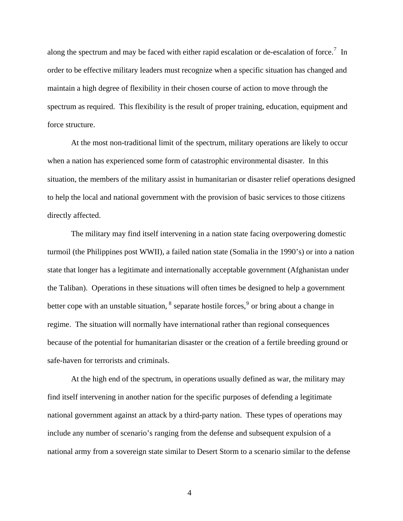along the spectrum and may be faced with either rapid escalation or de-escalation of force.<sup>[7](#page-21-1)</sup> In order to be effective military leaders must recognize when a specific situation has changed and maintain a high degree of flexibility in their chosen course of action to move through the spectrum as required. This flexibility is the result of proper training, education, equipment and force structure.

 At the most non-traditional limit of the spectrum, military operations are likely to occur when a nation has experienced some form of catastrophic environmental disaster. In this situation, the members of the military assist in humanitarian or disaster relief operations designed to help the local and national government with the provision of basic services to those citizens directly affected.

 The military may find itself intervening in a nation state facing overpowering domestic turmoil (the Philippines post WWII), a failed nation state (Somalia in the 1990's) or into a nation state that longer has a legitimate and internationally acceptable government (Afghanistan under the Taliban). Operations in these situations will often times be designed to help a government better cope with an unstable situation,  $^8$  $^8$  separate hostile forces,  $^9$  $^9$  or bring about a change in regime. The situation will normally have international rather than regional consequences because of the potential for humanitarian disaster or the creation of a fertile breeding ground or safe-haven for terrorists and criminals.

 At the high end of the spectrum, in operations usually defined as war, the military may find itself intervening in another nation for the specific purposes of defending a legitimate national government against an attack by a third-party nation. These types of operations may include any number of scenario's ranging from the defense and subsequent expulsion of a national army from a sovereign state similar to Desert Storm to a scenario similar to the defense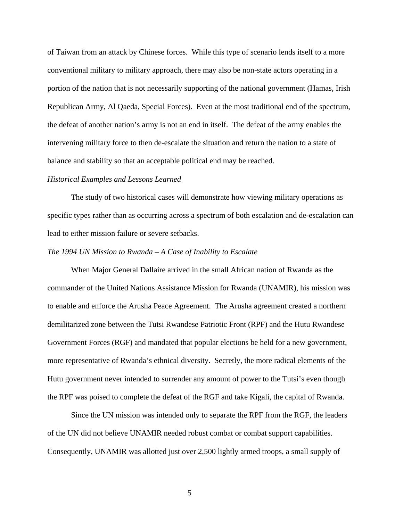of Taiwan from an attack by Chinese forces. While this type of scenario lends itself to a more conventional military to military approach, there may also be non-state actors operating in a portion of the nation that is not necessarily supporting of the national government (Hamas, Irish Republican Army, Al Qaeda, Special Forces). Even at the most traditional end of the spectrum, the defeat of another nation's army is not an end in itself. The defeat of the army enables the intervening military force to then de-escalate the situation and return the nation to a state of balance and stability so that an acceptable political end may be reached.

#### *Historical Examples and Lessons Learned*

 The study of two historical cases will demonstrate how viewing military operations as specific types rather than as occurring across a spectrum of both escalation and de-escalation can lead to either mission failure or severe setbacks.

## *The 1994 UN Mission to Rwanda – A Case of Inability to Escalate*

 When Major General Dallaire arrived in the small African nation of Rwanda as the commander of the United Nations Assistance Mission for Rwanda (UNAMIR), his mission was to enable and enforce the Arusha Peace Agreement. The Arusha agreement created a northern demilitarized zone between the Tutsi Rwandese Patriotic Front (RPF) and the Hutu Rwandese Government Forces (RGF) and mandated that popular elections be held for a new government, more representative of Rwanda's ethnical diversity. Secretly, the more radical elements of the Hutu government never intended to surrender any amount of power to the Tutsi's even though the RPF was poised to complete the defeat of the RGF and take Kigali, the capital of Rwanda.

 Since the UN mission was intended only to separate the RPF from the RGF, the leaders of the UN did not believe UNAMIR needed robust combat or combat support capabilities. Consequently, UNAMIR was allotted just over 2,500 lightly armed troops, a small supply of

 $\overline{5}$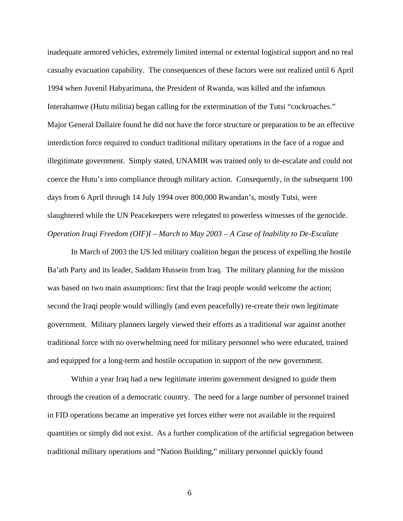inadequate armored vehicles, extremely limited internal or external logistical support and no real casualty evacuation capability. The consequences of these factors were not realized until 6 April 1994 when Juvenil Habyarimana, the President of Rwanda, was killed and the infamous Interahamwe (Hutu militia) began calling for the extermination of the Tutsi "cockroaches." Major General Dallaire found he did not have the force structure or preparation to be an effective interdiction force required to conduct traditional military operations in the face of a rogue and illegitimate government. Simply stated, UNAMIR was trained only to de-escalate and could not coerce the Hutu's into compliance through military action. Consequently, in the subsequent 100 days from 6 April through 14 July 1994 over 800,000 Rwandan's, mostly Tutsi, were slaughtered while the UN Peacekeepers were relegated to powerless witnesses of the genocide. *Operation Iraqi Freedom (OIF)I – March to May 2003 – A Case of Inability to De-Escalate* 

 In March of 2003 the US led military coalition began the process of expelling the hostile Ba'ath Party and its leader, Saddam Hussein from Iraq. The military planning for the mission was based on two main assumptions: first that the Iraqi people would welcome the action; second the Iraqi people would willingly (and even peacefully) re-create their own legitimate government. Military planners largely viewed their efforts as a traditional war against another traditional force with no overwhelming need for military personnel who were educated, trained and equipped for a long-term and hostile occupation in support of the new government.

 Within a year Iraq had a new legitimate interim government designed to guide them through the creation of a democratic country. The need for a large number of personnel trained in FID operations became an imperative yet forces either were not available in the required quantities or simply did not exist. As a further complication of the artificial segregation between traditional military operations and "Nation Building," military personnel quickly found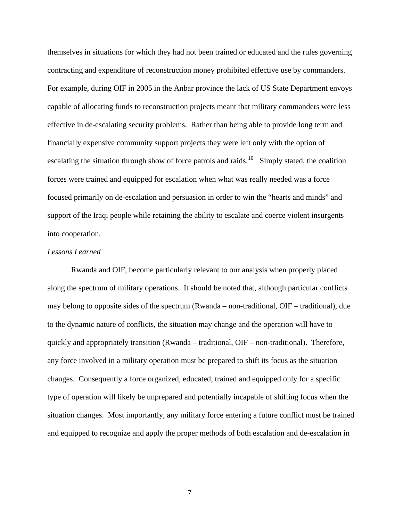themselves in situations for which they had not been trained or educated and the rules governing contracting and expenditure of reconstruction money prohibited effective use by commanders. For example, during OIF in 2005 in the Anbar province the lack of US State Department envoys capable of allocating funds to reconstruction projects meant that military commanders were less effective in de-escalating security problems. Rather than being able to provide long term and financially expensive community support projects they were left only with the option of escalating the situation through show of force patrols and raids.<sup>[10](#page-21-1)</sup> Simply stated, the coalition forces were trained and equipped for escalation when what was really needed was a force focused primarily on de-escalation and persuasion in order to win the "hearts and minds" and support of the Iraqi people while retaining the ability to escalate and coerce violent insurgents into cooperation.

## *Lessons Learned*

 Rwanda and OIF, become particularly relevant to our analysis when properly placed along the spectrum of military operations. It should be noted that, although particular conflicts may belong to opposite sides of the spectrum (Rwanda – non-traditional, OIF – traditional), due to the dynamic nature of conflicts, the situation may change and the operation will have to quickly and appropriately transition (Rwanda – traditional, OIF – non-traditional). Therefore, any force involved in a military operation must be prepared to shift its focus as the situation changes. Consequently a force organized, educated, trained and equipped only for a specific type of operation will likely be unprepared and potentially incapable of shifting focus when the situation changes. Most importantly, any military force entering a future conflict must be trained and equipped to recognize and apply the proper methods of both escalation and de-escalation in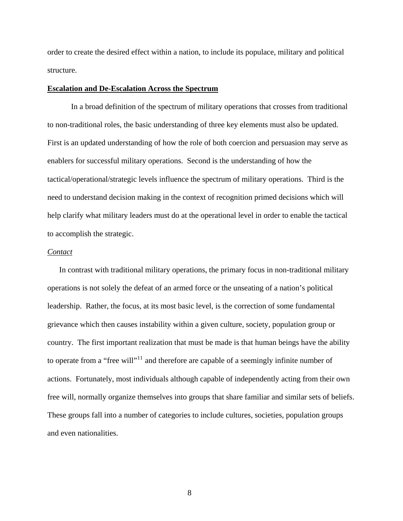order to create the desired effect within a nation, to include its populace, military and political structure.

### **Escalation and De-Escalation Across the Spectrum**

 In a broad definition of the spectrum of military operations that crosses from traditional to non-traditional roles, the basic understanding of three key elements must also be updated. First is an updated understanding of how the role of both coercion and persuasion may serve as enablers for successful military operations. Second is the understanding of how the tactical/operational/strategic levels influence the spectrum of military operations. Third is the need to understand decision making in the context of recognition primed decisions which will help clarify what military leaders must do at the operational level in order to enable the tactical to accomplish the strategic.

#### *Contact*

 In contrast with traditional military operations, the primary focus in non-traditional military operations is not solely the defeat of an armed force or the unseating of a nation's political leadership. Rather, the focus, at its most basic level, is the correction of some fundamental grievance which then causes instability within a given culture, society, population group or country. The first important realization that must be made is that human beings have the ability to operate from a "free will"<sup>[11](#page-21-1)</sup> and therefore are capable of a seemingly infinite number of actions. Fortunately, most individuals although capable of independently acting from their own free will, normally organize themselves into groups that share familiar and similar sets of beliefs. These groups fall into a number of categories to include cultures, societies, population groups and even nationalities.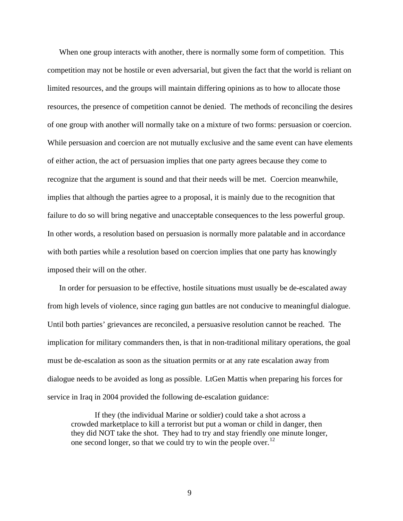When one group interacts with another, there is normally some form of competition. This competition may not be hostile or even adversarial, but given the fact that the world is reliant on limited resources, and the groups will maintain differing opinions as to how to allocate those resources, the presence of competition cannot be denied. The methods of reconciling the desires of one group with another will normally take on a mixture of two forms: persuasion or coercion. While persuasion and coercion are not mutually exclusive and the same event can have elements of either action, the act of persuasion implies that one party agrees because they come to recognize that the argument is sound and that their needs will be met. Coercion meanwhile, implies that although the parties agree to a proposal, it is mainly due to the recognition that failure to do so will bring negative and unacceptable consequences to the less powerful group. In other words, a resolution based on persuasion is normally more palatable and in accordance with both parties while a resolution based on coercion implies that one party has knowingly imposed their will on the other.

 In order for persuasion to be effective, hostile situations must usually be de-escalated away from high levels of violence, since raging gun battles are not conducive to meaningful dialogue. Until both parties' grievances are reconciled, a persuasive resolution cannot be reached. The implication for military commanders then, is that in non-traditional military operations, the goal must be de-escalation as soon as the situation permits or at any rate escalation away from dialogue needs to be avoided as long as possible. LtGen Mattis when preparing his forces for service in Iraq in 2004 provided the following de-escalation guidance:

 If they (the individual Marine or soldier) could take a shot across a crowded marketplace to kill a terrorist but put a woman or child in danger, then they did NOT take the shot. They had to try and stay friendly one minute longer, one second longer, so that we could try to win the people over.<sup>[12](#page-21-1)</sup>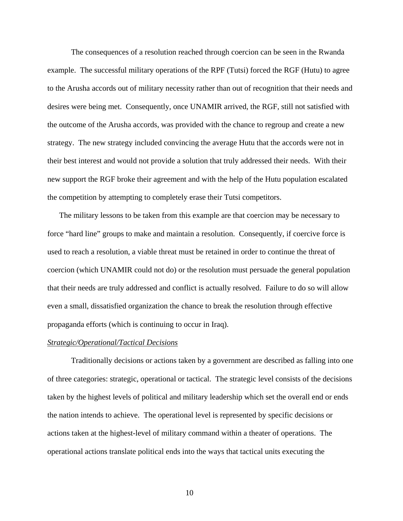The consequences of a resolution reached through coercion can be seen in the Rwanda example. The successful military operations of the RPF (Tutsi) forced the RGF (Hutu) to agree to the Arusha accords out of military necessity rather than out of recognition that their needs and desires were being met. Consequently, once UNAMIR arrived, the RGF, still not satisfied with the outcome of the Arusha accords, was provided with the chance to regroup and create a new strategy. The new strategy included convincing the average Hutu that the accords were not in their best interest and would not provide a solution that truly addressed their needs. With their new support the RGF broke their agreement and with the help of the Hutu population escalated the competition by attempting to completely erase their Tutsi competitors.

 The military lessons to be taken from this example are that coercion may be necessary to force "hard line" groups to make and maintain a resolution. Consequently, if coercive force is used to reach a resolution, a viable threat must be retained in order to continue the threat of coercion (which UNAMIR could not do) or the resolution must persuade the general population that their needs are truly addressed and conflict is actually resolved. Failure to do so will allow even a small, dissatisfied organization the chance to break the resolution through effective propaganda efforts (which is continuing to occur in Iraq).

#### *Strategic/Operational/Tactical Decisions*

 Traditionally decisions or actions taken by a government are described as falling into one of three categories: strategic, operational or tactical. The strategic level consists of the decisions taken by the highest levels of political and military leadership which set the overall end or ends the nation intends to achieve. The operational level is represented by specific decisions or actions taken at the highest-level of military command within a theater of operations. The operational actions translate political ends into the ways that tactical units executing the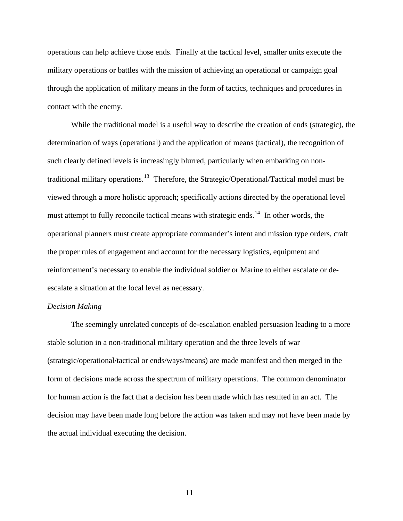operations can help achieve those ends. Finally at the tactical level, smaller units execute the military operations or battles with the mission of achieving an operational or campaign goal through the application of military means in the form of tactics, techniques and procedures in contact with the enemy.

 While the traditional model is a useful way to describe the creation of ends (strategic), the determination of ways (operational) and the application of means (tactical), the recognition of such clearly defined levels is increasingly blurred, particularly when embarking on non-traditional military operations.<sup>[13](#page-21-1)</sup> Therefore, the Strategic/Operational/Tactical model must be viewed through a more holistic approach; specifically actions directed by the operational level must attempt to fully reconcile tactical means with strategic ends.<sup>[14](#page-21-1)</sup> In other words, the operational planners must create appropriate commander's intent and mission type orders, craft the proper rules of engagement and account for the necessary logistics, equipment and reinforcement's necessary to enable the individual soldier or Marine to either escalate or deescalate a situation at the local level as necessary.

### *Decision Making*

 The seemingly unrelated concepts of de-escalation enabled persuasion leading to a more stable solution in a non-traditional military operation and the three levels of war (strategic/operational/tactical or ends/ways/means) are made manifest and then merged in the form of decisions made across the spectrum of military operations. The common denominator for human action is the fact that a decision has been made which has resulted in an act. The decision may have been made long before the action was taken and may not have been made by the actual individual executing the decision.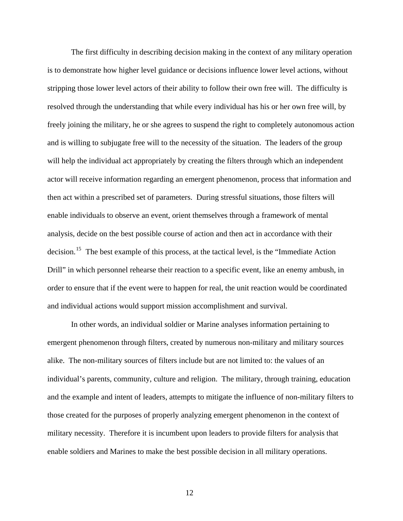The first difficulty in describing decision making in the context of any military operation is to demonstrate how higher level guidance or decisions influence lower level actions, without stripping those lower level actors of their ability to follow their own free will. The difficulty is resolved through the understanding that while every individual has his or her own free will, by freely joining the military, he or she agrees to suspend the right to completely autonomous action and is willing to subjugate free will to the necessity of the situation. The leaders of the group will help the individual act appropriately by creating the filters through which an independent actor will receive information regarding an emergent phenomenon, process that information and then act within a prescribed set of parameters. During stressful situations, those filters will enable individuals to observe an event, orient themselves through a framework of mental analysis, decide on the best possible course of action and then act in accordance with their decision.<sup>[15](#page-21-1)</sup> The best example of this process, at the tactical level, is the "Immediate Action" Drill" in which personnel rehearse their reaction to a specific event, like an enemy ambush, in order to ensure that if the event were to happen for real, the unit reaction would be coordinated and individual actions would support mission accomplishment and survival.

 In other words, an individual soldier or Marine analyses information pertaining to emergent phenomenon through filters, created by numerous non-military and military sources alike. The non-military sources of filters include but are not limited to: the values of an individual's parents, community, culture and religion. The military, through training, education and the example and intent of leaders, attempts to mitigate the influence of non-military filters to those created for the purposes of properly analyzing emergent phenomenon in the context of military necessity. Therefore it is incumbent upon leaders to provide filters for analysis that enable soldiers and Marines to make the best possible decision in all military operations.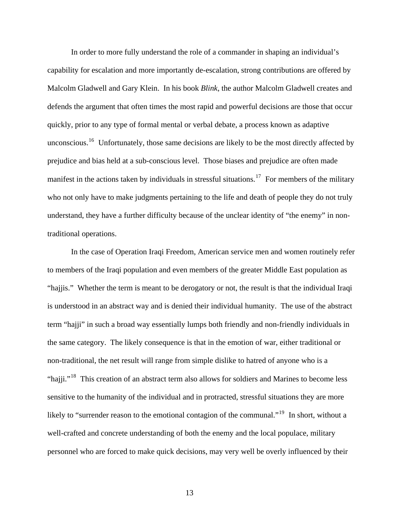In order to more fully understand the role of a commander in shaping an individual's capability for escalation and more importantly de-escalation, strong contributions are offered by Malcolm Gladwell and Gary Klein. In his book *Blink*, the author Malcolm Gladwell creates and defends the argument that often times the most rapid and powerful decisions are those that occur quickly, prior to any type of formal mental or verbal debate, a process known as adaptive unconscious.<sup>[16](#page-21-1)</sup> Unfortunately, those same decisions are likely to be the most directly affected by prejudice and bias held at a sub-conscious level. Those biases and prejudice are often made manifest in the actions taken by individuals in stressful situations.<sup>[17](#page-21-1)</sup> For members of the military who not only have to make judgments pertaining to the life and death of people they do not truly understand, they have a further difficulty because of the unclear identity of "the enemy" in nontraditional operations.

 In the case of Operation Iraqi Freedom, American service men and women routinely refer to members of the Iraqi population and even members of the greater Middle East population as "hajjis." Whether the term is meant to be derogatory or not, the result is that the individual Iraqi is understood in an abstract way and is denied their individual humanity. The use of the abstract term "hajji" in such a broad way essentially lumps both friendly and non-friendly individuals in the same category. The likely consequence is that in the emotion of war, either traditional or non-traditional, the net result will range from simple dislike to hatred of anyone who is a "hajji."<sup>[18](#page-21-1)</sup> This creation of an abstract term also allows for soldiers and Marines to become less sensitive to the humanity of the individual and in protracted, stressful situations they are more likely to "surrender reason to the emotional contagion of the communal."<sup>[19](#page-21-1)</sup> In short, without a well-crafted and concrete understanding of both the enemy and the local populace, military personnel who are forced to make quick decisions, may very well be overly influenced by their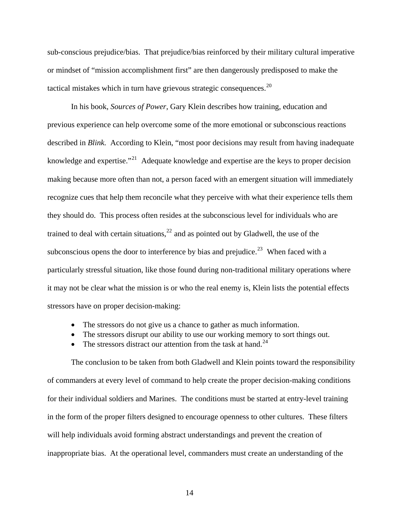sub-conscious prejudice/bias. That prejudice/bias reinforced by their military cultural imperative or mindset of "mission accomplishment first" are then dangerously predisposed to make the tactical mistakes which in turn have grievous strategic consequences. $20$ 

 In his book, *Sources of Power*, Gary Klein describes how training, education and previous experience can help overcome some of the more emotional or subconscious reactions described in *Blink.* According to Klein, "most poor decisions may result from having inadequate knowledge and expertise."[21](#page-21-1)Adequate knowledge and expertise are the keys to proper decision making because more often than not, a person faced with an emergent situation will immediately recognize cues that help them reconcile what they perceive with what their experience tells them they should do. This process often resides at the subconscious level for individuals who are trained to deal with certain situations, $^{22}$  $^{22}$  $^{22}$  and as pointed out by Gladwell, the use of the subconscious opens the door to interference by bias and prejudice.<sup>[23](#page-21-1)</sup> When faced with a particularly stressful situation, like those found during non-traditional military operations where it may not be clear what the mission is or who the real enemy is, Klein lists the potential effects stressors have on proper decision-making:

- The stressors do not give us a chance to gather as much information.
- The stressors disrupt our ability to use our working memory to sort things out.
- The stressors distract our attention from the task at hand.<sup>[24](#page-21-1)</sup>

 The conclusion to be taken from both Gladwell and Klein points toward the responsibility of commanders at every level of command to help create the proper decision-making conditions for their individual soldiers and Marines. The conditions must be started at entry-level training in the form of the proper filters designed to encourage openness to other cultures. These filters will help individuals avoid forming abstract understandings and prevent the creation of inappropriate bias. At the operational level, commanders must create an understanding of the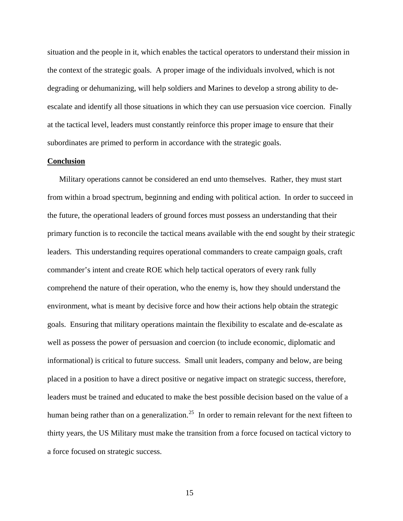situation and the people in it, which enables the tactical operators to understand their mission in the context of the strategic goals. A proper image of the individuals involved, which is not degrading or dehumanizing, will help soldiers and Marines to develop a strong ability to deescalate and identify all those situations in which they can use persuasion vice coercion. Finally at the tactical level, leaders must constantly reinforce this proper image to ensure that their subordinates are primed to perform in accordance with the strategic goals.

## **Conclusion**

 Military operations cannot be considered an end unto themselves. Rather, they must start from within a broad spectrum, beginning and ending with political action. In order to succeed in the future, the operational leaders of ground forces must possess an understanding that their primary function is to reconcile the tactical means available with the end sought by their strategic leaders. This understanding requires operational commanders to create campaign goals, craft commander's intent and create ROE which help tactical operators of every rank fully comprehend the nature of their operation, who the enemy is, how they should understand the environment, what is meant by decisive force and how their actions help obtain the strategic goals. Ensuring that military operations maintain the flexibility to escalate and de-escalate as well as possess the power of persuasion and coercion (to include economic, diplomatic and informational) is critical to future success. Small unit leaders, company and below, are being placed in a position to have a direct positive or negative impact on strategic success, therefore, leaders must be trained and educated to make the best possible decision based on the value of a human being rather than on a generalization.<sup>[25](#page-22-0)</sup> In order to remain relevant for the next fifteen to thirty years, the US Military must make the transition from a force focused on tactical victory to a force focused on strategic success.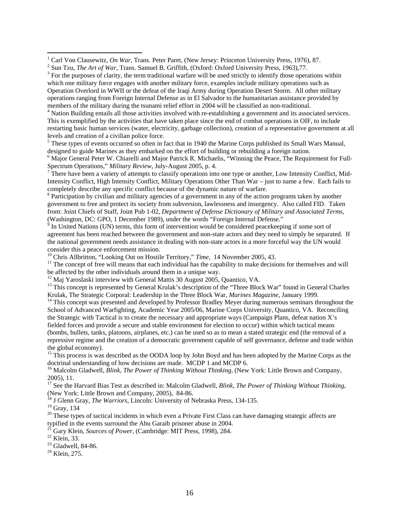<sup>4</sup> Nation Building entails all those activities involved with re-establishing a government and its associated services. This is exemplified by the activities that have taken place since the end of combat operations in OIF, to include restarting basic human services (water, electricity, garbage collection), creation of a representative government at all levels and creation of a civilian police force.

<sup>6</sup> Major General Peter W. Chiarelli and Major Patrick R. Michaelis, "Winning the Peace, The Requirement for Full-Spectrum Operations," *Military Review*, July-August 2005, p. 4. 7

 There have been a variety of attempts to classify operations into one type or another, Low Intensity Conflict, Mid-Intensity Conflict, High Intensity Conflict, Military Operations Other Than War – just to name a few. Each fails to completely describe any specific conflict because of the dynamic nature of warfare.

<sup>8</sup> Participation by civilian and military agencies of a government in any of the action programs taken by another government to free and protect its society from subversion, lawlessness and insurgency. Also called FID. Taken from: Joint Chiefs of Staff, Joint Pub 1-02, *Department of Defense Dictionary of Military and Associated Terms*,

(Washington, DC: GPO, 1 December 1989), under the words "Foreign Internal Defense."<br><sup>9</sup> In United Nations (UN) terms, this form of intervention would be considered peacekeeping if some sort of agreement has been reached between the government and non-state actors and they need to simply be separated. If the national government needs assistance in dealing with non-state actors in a more forceful way the UN would consider this a peace enforcement mission.

<sup>10</sup> Chris Allbritton, "Looking Out on Hostile Territory," *Time*, 14 November 2005, 43.<br><sup>11</sup> The concept of free will means that each individual has the capability to make decisions for themselves and will be affected by the other individuals around them in a unique way.

<sup>12</sup> Maj Yaroslaski interview with General Mattis 30 August 2005, Quantico, VA.

<sup>13</sup> This concept is represented by General Krulak's description of the "Three Block War" found in General Charles Krulak, The Strategic Corporal: Leadership in the Three Block War, *Marines Magazine*, January 1999.<br><sup>14</sup> This concept was presented and developed by Professor Bradley Meyer during numerous seminars throughout the

School of Advanced Warfighting, Academic Year 2005/06, Marine Corps University, Quantico, VA. Reconciling the Strategic with Tactical is to create the necessary and appropriate ways (Campaign Plans, defeat nation X's fielded forces and provide a secure and stable environment for election to occur) within which tactical means (bombs, bullets, tanks, platoons, airplanes, etc.) can be used so as to mean a stated strategic end (the removal of a repressive regime and the creation of a democratic government capable of self governance, defense and trade within the global economy).

<sup>15</sup> This process is was described as the OODA loop by John Boyd and has been adopted by the Marine Corps as the doctrinal understanding of how decisions are made. MCDP 1 and MCDP 6.

16 Malcolm Gladwell, *Blink, The Power of Thinking Without Thinking,* (New York: Little Brown and Company, 2005), 11.

<sup>17</sup> See the Harvard Bias Test as described in: Malcolm Gladwell, *Blink, The Power of Thinking Without Thinking*, (New York: Little Brown and Company, 2005), 84-86.<br><sup>18</sup> J Glenn Gray, *The Warriors*, Lincoln: University of Nebraska Press, 134-135.

<sup>19</sup> Gray, 134

<span id="page-21-1"></span> $\overline{a}$ 

 $20$  These types of tactical incidents in which even a Private First Class can have damaging strategic affects are typified in the events surround the Abu Garaib prisoner abuse in 2004.

<sup>21</sup> Gary Klein, *Sources of Power*, (Cambridge: MIT Press, 1998), 284.<br><sup>22</sup> Klein, 33.

<sup>23</sup> Gladwell, 84-86.

<sup>&</sup>lt;sup>1</sup> Carl Von Clausewitz, *On War*, Trans. Peter Paret, (New Jersey: Princeton University Press, 1976), 87.  $\frac{2 \text{ N}}{2 \text{ N}}$ 

<span id="page-21-0"></span><sup>&</sup>lt;sup>2</sup> Sun Tzu, *The Art of War*, Trans. Samuel B. Griffith, (Oxford: Oxford University Press, 1963), 77.

 $3$  For the purposes of clarity, the term traditional warfare will be used strictly to identify those operations within which one military force engages with another military force, examples include military operations such as Operation Overlord in WWII or the defeat of the Iraqi Army during Operation Desert Storm. All other military operations ranging from Foreign Internal Defense as in El Salvador to the humanitarian assistance provided by members of the military during the tsunami relief effort in 2004 will be classified as non-traditional. 4

<sup>&</sup>lt;sup>5</sup> These types of events occurred so often in fact that in 1940 the Marine Corps published its Small Wars Manual, designed to guide Marines as they embarked on the effort of building or rebuilding a foreign nation.

<sup>&</sup>lt;sup>24</sup> Klein, 275.